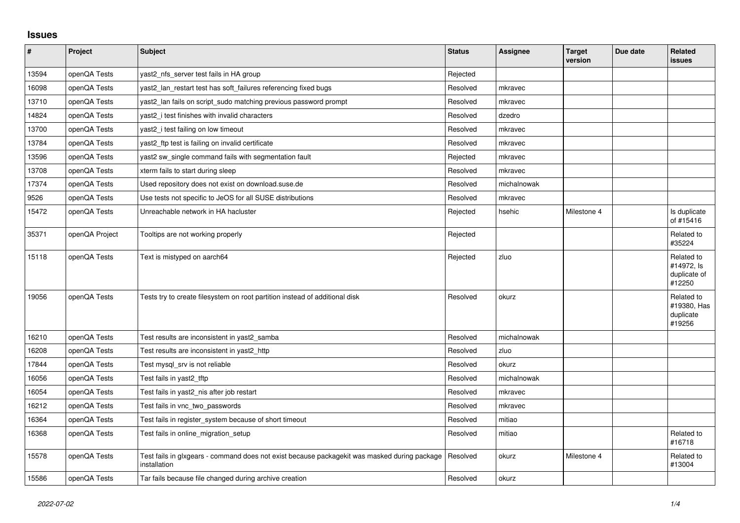## **Issues**

| $\vert$ # | Project        | <b>Subject</b>                                                                                               | <b>Status</b> | Assignee    | <b>Target</b><br>version | Due date | Related<br><b>issues</b>                           |
|-----------|----------------|--------------------------------------------------------------------------------------------------------------|---------------|-------------|--------------------------|----------|----------------------------------------------------|
| 13594     | openQA Tests   | yast2 nfs server test fails in HA group                                                                      | Rejected      |             |                          |          |                                                    |
| 16098     | openQA Tests   | yast2 Ian restart test has soft failures referencing fixed bugs                                              | Resolved      | mkravec     |                          |          |                                                    |
| 13710     | openQA Tests   | yast2 lan fails on script sudo matching previous password prompt                                             | Resolved      | mkravec     |                          |          |                                                    |
| 14824     | openQA Tests   | yast2 i test finishes with invalid characters                                                                | Resolved      | dzedro      |                          |          |                                                    |
| 13700     | openQA Tests   | yast2_i test failing on low timeout                                                                          | Resolved      | mkravec     |                          |          |                                                    |
| 13784     | openQA Tests   | yast2_ftp test is failing on invalid certificate                                                             | Resolved      | mkravec     |                          |          |                                                    |
| 13596     | openQA Tests   | yast2 sw single command fails with segmentation fault                                                        | Rejected      | mkravec     |                          |          |                                                    |
| 13708     | openQA Tests   | xterm fails to start during sleep                                                                            | Resolved      | mkravec     |                          |          |                                                    |
| 17374     | openQA Tests   | Used repository does not exist on download.suse.de                                                           | Resolved      | michalnowak |                          |          |                                                    |
| 9526      | openQA Tests   | Use tests not specific to JeOS for all SUSE distributions                                                    | Resolved      | mkravec     |                          |          |                                                    |
| 15472     | openQA Tests   | Unreachable network in HA hacluster                                                                          | Rejected      | hsehic      | Milestone 4              |          | Is duplicate<br>of #15416                          |
| 35371     | openQA Project | Tooltips are not working properly                                                                            | Rejected      |             |                          |          | Related to<br>#35224                               |
| 15118     | openQA Tests   | Text is mistyped on aarch64                                                                                  | Rejected      | zluo        |                          |          | Related to<br>#14972, Is<br>duplicate of<br>#12250 |
| 19056     | openQA Tests   | Tests try to create filesystem on root partition instead of additional disk                                  | Resolved      | okurz       |                          |          | Related to<br>#19380, Has<br>duplicate<br>#19256   |
| 16210     | openQA Tests   | Test results are inconsistent in yast2_samba                                                                 | Resolved      | michalnowak |                          |          |                                                    |
| 16208     | openQA Tests   | Test results are inconsistent in yast2 http                                                                  | Resolved      | zluo        |                          |          |                                                    |
| 17844     | openQA Tests   | Test mysql_srv is not reliable                                                                               | Resolved      | okurz       |                          |          |                                                    |
| 16056     | openQA Tests   | Test fails in yast2_tftp                                                                                     | Resolved      | michalnowak |                          |          |                                                    |
| 16054     | openQA Tests   | Test fails in yast2_nis after job restart                                                                    | Resolved      | mkravec     |                          |          |                                                    |
| 16212     | openQA Tests   | Test fails in vnc two passwords                                                                              | Resolved      | mkravec     |                          |          |                                                    |
| 16364     | openQA Tests   | Test fails in register_system because of short timeout                                                       | Resolved      | mitiao      |                          |          |                                                    |
| 16368     | openQA Tests   | Test fails in online_migration_setup                                                                         | Resolved      | mitiao      |                          |          | Related to<br>#16718                               |
| 15578     | openQA Tests   | Test fails in glxgears - command does not exist because packagekit was masked during package<br>installation | Resolved      | okurz       | Milestone 4              |          | Related to<br>#13004                               |
| 15586     | openQA Tests   | Tar fails because file changed during archive creation                                                       | Resolved      | okurz       |                          |          |                                                    |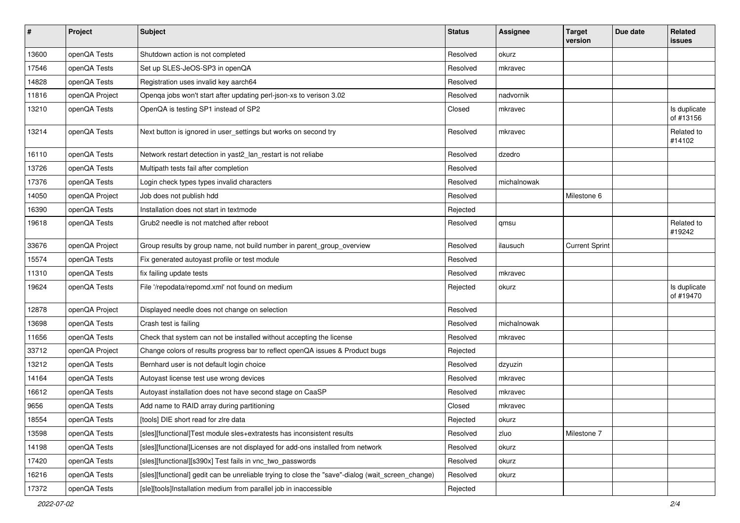| $\pmb{\#}$ | Project        | <b>Subject</b>                                                                                    | <b>Status</b> | <b>Assignee</b> | <b>Target</b><br>version | Due date | Related<br>issues         |
|------------|----------------|---------------------------------------------------------------------------------------------------|---------------|-----------------|--------------------------|----------|---------------------------|
| 13600      | openQA Tests   | Shutdown action is not completed                                                                  | Resolved      | okurz           |                          |          |                           |
| 17546      | openQA Tests   | Set up SLES-JeOS-SP3 in openQA                                                                    | Resolved      | mkravec         |                          |          |                           |
| 14828      | openQA Tests   | Registration uses invalid key aarch64                                                             | Resolved      |                 |                          |          |                           |
| 11816      | openQA Project | Openqa jobs won't start after updating perl-json-xs to verison 3.02                               | Resolved      | nadvornik       |                          |          |                           |
| 13210      | openQA Tests   | OpenQA is testing SP1 instead of SP2                                                              | Closed        | mkravec         |                          |          | Is duplicate<br>of #13156 |
| 13214      | openQA Tests   | Next button is ignored in user_settings but works on second try                                   | Resolved      | mkravec         |                          |          | Related to<br>#14102      |
| 16110      | openQA Tests   | Network restart detection in yast2_lan_restart is not reliabe                                     | Resolved      | dzedro          |                          |          |                           |
| 13726      | openQA Tests   | Multipath tests fail after completion                                                             | Resolved      |                 |                          |          |                           |
| 17376      | openQA Tests   | Login check types types invalid characters                                                        | Resolved      | michalnowak     |                          |          |                           |
| 14050      | openQA Project | Job does not publish hdd                                                                          | Resolved      |                 | Milestone 6              |          |                           |
| 16390      | openQA Tests   | Installation does not start in textmode                                                           | Rejected      |                 |                          |          |                           |
| 19618      | openQA Tests   | Grub <sub>2</sub> needle is not matched after reboot                                              | Resolved      | qmsu            |                          |          | Related to<br>#19242      |
| 33676      | openQA Project | Group results by group name, not build number in parent_group_overview                            | Resolved      | ilausuch        | <b>Current Sprint</b>    |          |                           |
| 15574      | openQA Tests   | Fix generated autoyast profile or test module                                                     | Resolved      |                 |                          |          |                           |
| 11310      | openQA Tests   | fix failing update tests                                                                          | Resolved      | mkravec         |                          |          |                           |
| 19624      | openQA Tests   | File '/repodata/repomd.xml' not found on medium                                                   | Rejected      | okurz           |                          |          | Is duplicate<br>of #19470 |
| 12878      | openQA Project | Displayed needle does not change on selection                                                     | Resolved      |                 |                          |          |                           |
| 13698      | openQA Tests   | Crash test is failing                                                                             | Resolved      | michalnowak     |                          |          |                           |
| 11656      | openQA Tests   | Check that system can not be installed without accepting the license                              | Resolved      | mkravec         |                          |          |                           |
| 33712      | openQA Project | Change colors of results progress bar to reflect openQA issues & Product bugs                     | Rejected      |                 |                          |          |                           |
| 13212      | openQA Tests   | Bernhard user is not default login choice                                                         | Resolved      | dzyuzin         |                          |          |                           |
| 14164      | openQA Tests   | Autoyast license test use wrong devices                                                           | Resolved      | mkravec         |                          |          |                           |
| 16612      | openQA Tests   | Autoyast installation does not have second stage on CaaSP                                         | Resolved      | mkravec         |                          |          |                           |
| 9656       | openQA Tests   | Add name to RAID array during partitioning                                                        | Closed        | mkravec         |                          |          |                           |
| 18554      | openQA Tests   | [tools] DIE short read for zire data                                                              | Rejected      | okurz           |                          |          |                           |
| 13598      | openQA Tests   | [sles][functional]Test module sles+extratests has inconsistent results                            | Resolved      | zluo            | Milestone 7              |          |                           |
| 14198      | openQA Tests   | [sles][functional]Licenses are not displayed for add-ons installed from network                   | Resolved      | okurz           |                          |          |                           |
| 17420      | openQA Tests   | [sles][functional][s390x] Test fails in vnc_two_passwords                                         | Resolved      | okurz           |                          |          |                           |
| 16216      | openQA Tests   | [sles][functional] gedit can be unreliable trying to close the "save"-dialog (wait_screen_change) | Resolved      | okurz           |                          |          |                           |
| 17372      | openQA Tests   | [sle][tools]Installation medium from parallel job in inaccessible                                 | Rejected      |                 |                          |          |                           |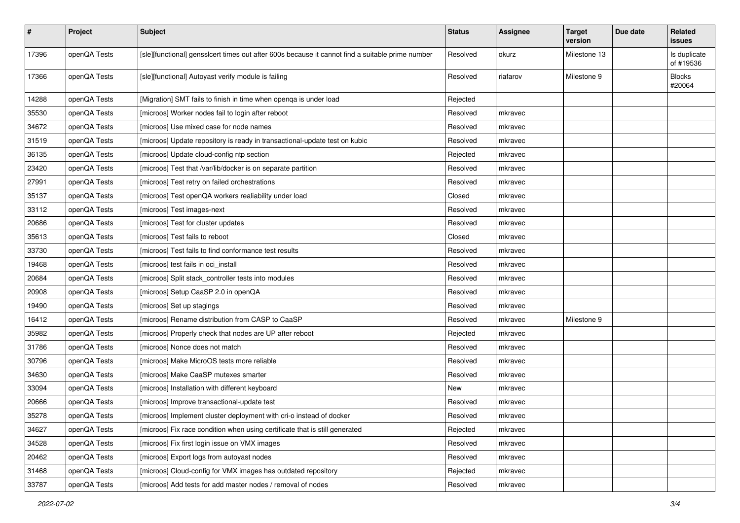| $\sharp$ | Project      | <b>Subject</b>                                                                                   | <b>Status</b> | <b>Assignee</b> | <b>Target</b><br>version | Due date | Related<br><b>issues</b>  |
|----------|--------------|--------------------------------------------------------------------------------------------------|---------------|-----------------|--------------------------|----------|---------------------------|
| 17396    | openQA Tests | [sle][functional] gensslcert times out after 600s because it cannot find a suitable prime number | Resolved      | okurz           | Milestone 13             |          | Is duplicate<br>of #19536 |
| 17366    | openQA Tests | [sle][functional] Autoyast verify module is failing                                              | Resolved      | riafarov        | Milestone 9              |          | <b>Blocks</b><br>#20064   |
| 14288    | openQA Tests | [Migration] SMT fails to finish in time when openga is under load                                | Rejected      |                 |                          |          |                           |
| 35530    | openQA Tests | [microos] Worker nodes fail to login after reboot                                                | Resolved      | mkravec         |                          |          |                           |
| 34672    | openQA Tests | [microos] Use mixed case for node names                                                          | Resolved      | mkravec         |                          |          |                           |
| 31519    | openQA Tests | [microos] Update repository is ready in transactional-update test on kubic                       | Resolved      | mkravec         |                          |          |                           |
| 36135    | openQA Tests | [microos] Update cloud-config ntp section                                                        | Rejected      | mkravec         |                          |          |                           |
| 23420    | openQA Tests | [microos] Test that /var/lib/docker is on separate partition                                     | Resolved      | mkravec         |                          |          |                           |
| 27991    | openQA Tests | [microos] Test retry on failed orchestrations                                                    | Resolved      | mkravec         |                          |          |                           |
| 35137    | openQA Tests | [microos] Test openQA workers realiability under load                                            | Closed        | mkravec         |                          |          |                           |
| 33112    | openQA Tests | [microos] Test images-next                                                                       | Resolved      | mkravec         |                          |          |                           |
| 20686    | openQA Tests | [microos] Test for cluster updates                                                               | Resolved      | mkravec         |                          |          |                           |
| 35613    | openQA Tests | [microos] Test fails to reboot                                                                   | Closed        | mkravec         |                          |          |                           |
| 33730    | openQA Tests | [microos] Test fails to find conformance test results                                            | Resolved      | mkravec         |                          |          |                           |
| 19468    | openQA Tests | [microos] test fails in oci_install                                                              | Resolved      | mkravec         |                          |          |                           |
| 20684    | openQA Tests | [microos] Split stack controller tests into modules                                              | Resolved      | mkravec         |                          |          |                           |
| 20908    | openQA Tests | [microos] Setup CaaSP 2.0 in openQA                                                              | Resolved      | mkravec         |                          |          |                           |
| 19490    | openQA Tests | [microos] Set up stagings                                                                        | Resolved      | mkravec         |                          |          |                           |
| 16412    | openQA Tests | [microos] Rename distribution from CASP to CaaSP                                                 | Resolved      | mkravec         | Milestone 9              |          |                           |
| 35982    | openQA Tests | [microos] Properly check that nodes are UP after reboot                                          | Rejected      | mkravec         |                          |          |                           |
| 31786    | openQA Tests | [microos] Nonce does not match                                                                   | Resolved      | mkravec         |                          |          |                           |
| 30796    | openQA Tests | [microos] Make MicroOS tests more reliable                                                       | Resolved      | mkravec         |                          |          |                           |
| 34630    | openQA Tests | [microos] Make CaaSP mutexes smarter                                                             | Resolved      | mkravec         |                          |          |                           |
| 33094    | openQA Tests | [microos] Installation with different keyboard                                                   | New           | mkravec         |                          |          |                           |
| 20666    | openQA Tests | [microos] Improve transactional-update test                                                      | Resolved      | mkravec         |                          |          |                           |
| 35278    | openQA Tests | [microos] Implement cluster deployment with cri-o instead of docker                              | Resolved      | mkravec         |                          |          |                           |
| 34627    | openQA Tests | [microos] Fix race condition when using certificate that is still generated                      | Rejected      | mkravec         |                          |          |                           |
| 34528    | openQA Tests | [microos] Fix first login issue on VMX images                                                    | Resolved      | mkravec         |                          |          |                           |
| 20462    | openQA Tests | [microos] Export logs from autoyast nodes                                                        | Resolved      | mkravec         |                          |          |                           |
| 31468    | openQA Tests | [microos] Cloud-config for VMX images has outdated repository                                    | Rejected      | mkravec         |                          |          |                           |
| 33787    | openQA Tests | [microos] Add tests for add master nodes / removal of nodes                                      | Resolved      | mkravec         |                          |          |                           |